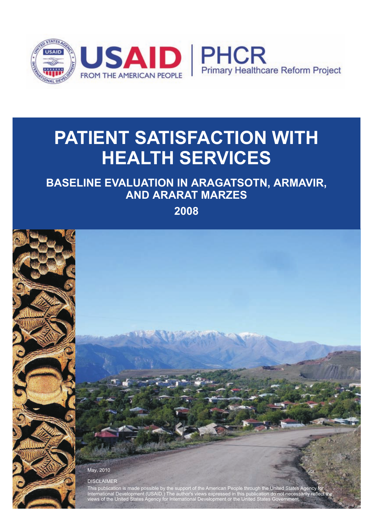

# **PATIENT SATISFACTION WITH HEALTH SERVICES**

## **BASELINE EVALUATION IN ARAGATSOTN, ARMAVIR, AND ARARAT MARZES**

**2008**

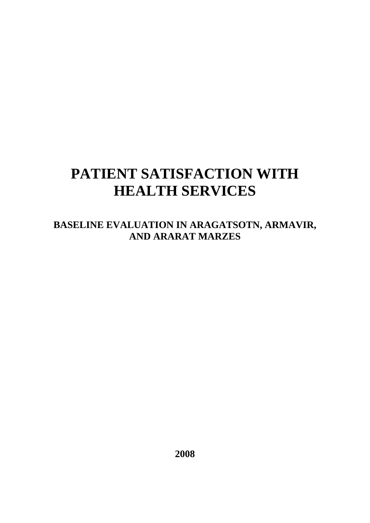## **PATIENT SATISFACTION WITH HEALTH SERVICES**

**BASELINE EVALUATION IN ARAGATSOTN, ARMAVIR, AND ARARAT MARZES** 

**2008**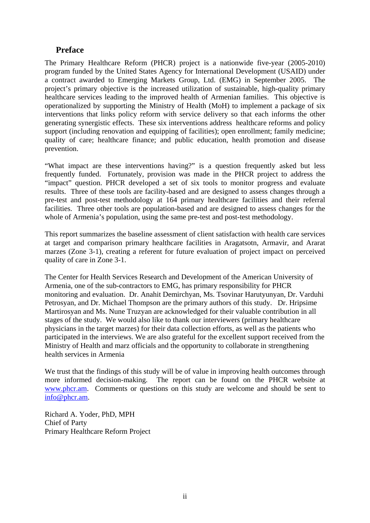#### **Preface**

The Primary Healthcare Reform (PHCR) project is a nationwide five-year (2005-2010) program funded by the United States Agency for International Development (USAID) under a contract awarded to Emerging Markets Group, Ltd. (EMG) in September 2005. The project's primary objective is the increased utilization of sustainable, high-quality primary healthcare services leading to the improved health of Armenian families. This objective is operationalized by supporting the Ministry of Health (MoH) to implement a package of six interventions that links policy reform with service delivery so that each informs the other generating synergistic effects. These six interventions address healthcare reforms and policy support (including renovation and equipping of facilities); open enrollment; family medicine; quality of care; healthcare finance; and public education, health promotion and disease prevention.

"What impact are these interventions having?" is a question frequently asked but less frequently funded. Fortunately, provision was made in the PHCR project to address the "impact" question. PHCR developed a set of six tools to monitor progress and evaluate results. Three of these tools are facility-based and are designed to assess changes through a pre-test and post-test methodology at 164 primary healthcare facilities and their referral facilities. Three other tools are population-based and are designed to assess changes for the whole of Armenia's population, using the same pre-test and post-test methodology.

This report summarizes the baseline assessment of client satisfaction with health care services at target and comparison primary healthcare facilities in Aragatsotn, Armavir, and Ararat marzes (Zone 3-1), creating a referent for future evaluation of project impact on perceived quality of care in Zone 3-1.

The Center for Health Services Research and Development of the American University of Armenia, one of the sub-contractors to EMG, has primary responsibility for PHCR monitoring and evaluation. Dr. Anahit Demirchyan, Ms. Tsovinar Harutyunyan, Dr. Varduhi Petrosyan, and Dr. Michael Thompson are the primary authors of this study. Dr. Hripsime Martirosyan and Ms. Nune Truzyan are acknowledged for their valuable contribution in all stages of the study. We would also like to thank our interviewers (primary healthcare physicians in the target marzes) for their data collection efforts, as well as the patients who participated in the interviews. We are also grateful for the excellent support received from the Ministry of Health and marz officials and the opportunity to collaborate in strengthening health services in Armenia

We trust that the findings of this study will be of value in improving health outcomes through more informed decision-making. The report can be found on the PHCR website at www.phcr.am. Comments or questions on this study are welcome and should be sent to info@phcr.am.

Richard A. Yoder, PhD, MPH Chief of Party Primary Healthcare Reform Project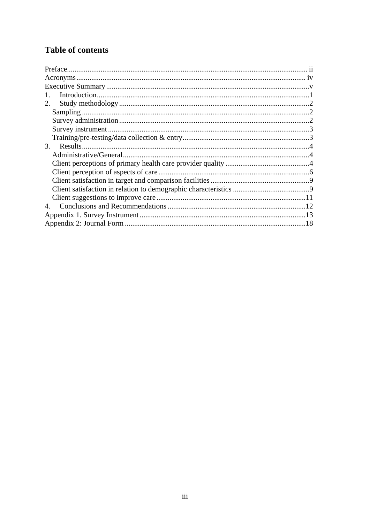## **Table of contents**

| 2. |  |
|----|--|
|    |  |
|    |  |
|    |  |
|    |  |
| 3. |  |
|    |  |
|    |  |
|    |  |
|    |  |
|    |  |
|    |  |
| 4. |  |
|    |  |
|    |  |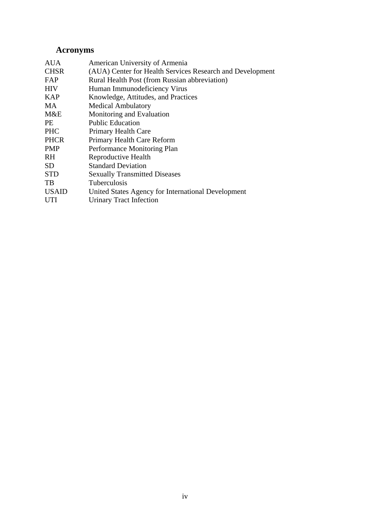## **Acronyms**

| <b>AUA</b>   | American University of Armenia                            |
|--------------|-----------------------------------------------------------|
| <b>CHSR</b>  | (AUA) Center for Health Services Research and Development |
| FAP          | Rural Health Post (from Russian abbreviation)             |
| <b>HIV</b>   | Human Immunodeficiency Virus                              |
| <b>KAP</b>   | Knowledge, Attitudes, and Practices                       |
| MA           | <b>Medical Ambulatory</b>                                 |
| M&E          | Monitoring and Evaluation                                 |
| <b>PE</b>    | <b>Public Education</b>                                   |
| <b>PHC</b>   | Primary Health Care                                       |
| <b>PHCR</b>  | Primary Health Care Reform                                |
| <b>PMP</b>   | Performance Monitoring Plan                               |
| <b>RH</b>    | Reproductive Health                                       |
| SD.          | <b>Standard Deviation</b>                                 |
| <b>STD</b>   | <b>Sexually Transmitted Diseases</b>                      |
| TB           | <b>Tuberculosis</b>                                       |
| <b>USAID</b> | United States Agency for International Development        |
| UTI          | <b>Urinary Tract Infection</b>                            |
|              |                                                           |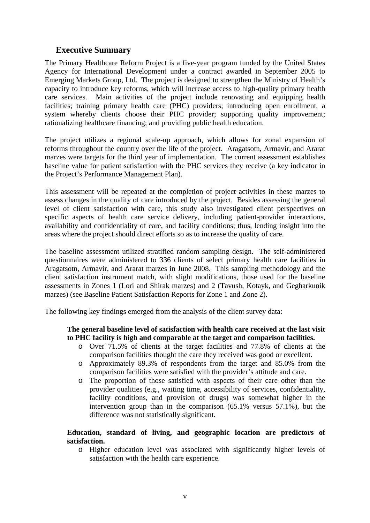#### **Executive Summary**

The Primary Healthcare Reform Project is a five-year program funded by the United States Agency for International Development under a contract awarded in September 2005 to Emerging Markets Group, Ltd. The project is designed to strengthen the Ministry of Health's capacity to introduce key reforms, which will increase access to high-quality primary health care services. Main activities of the project include renovating and equipping health facilities; training primary health care (PHC) providers; introducing open enrollment, a system whereby clients choose their PHC provider; supporting quality improvement; rationalizing healthcare financing; and providing public health education.

The project utilizes a regional scale-up approach, which allows for zonal expansion of reforms throughout the country over the life of the project. Aragatsotn, Armavir, and Ararat marzes were targets for the third year of implementation. The current assessment establishes baseline value for patient satisfaction with the PHC services they receive (a key indicator in the Project's Performance Management Plan).

This assessment will be repeated at the completion of project activities in these marzes to assess changes in the quality of care introduced by the project. Besides assessing the general level of client satisfaction with care, this study also investigated client perspectives on specific aspects of health care service delivery, including patient-provider interactions, availability and confidentiality of care, and facility conditions; thus, lending insight into the areas where the project should direct efforts so as to increase the quality of care.

The baseline assessment utilized stratified random sampling design. The self-administered questionnaires were administered to 336 clients of select primary health care facilities in Aragatsotn, Armavir, and Ararat marzes in June 2008. This sampling methodology and the client satisfaction instrument match, with slight modifications, those used for the baseline assessments in Zones 1 (Lori and Shirak marzes) and 2 (Tavush, Kotayk, and Gegharkunik marzes) (see Baseline Patient Satisfaction Reports for Zone 1 and Zone 2).

The following key findings emerged from the analysis of the client survey data:

#### **The general baseline level of satisfaction with health care received at the last visit to PHC facility is high and comparable at the target and comparison facilities.**

- o Over 71.5% of clients at the target facilities and 77.8% of clients at the comparison facilities thought the care they received was good or excellent.
- o Approximately 89.3% of respondents from the target and 85.0% from the comparison facilities were satisfied with the provider's attitude and care.
- o The proportion of those satisfied with aspects of their care other than the provider qualities (e.g., waiting time, accessibility of services, confidentiality, facility conditions, and provision of drugs) was somewhat higher in the intervention group than in the comparison (65.1% versus 57.1%), but the difference was not statistically significant.

#### **Education, standard of living, and geographic location are predictors of satisfaction.**

o Higher education level was associated with significantly higher levels of satisfaction with the health care experience.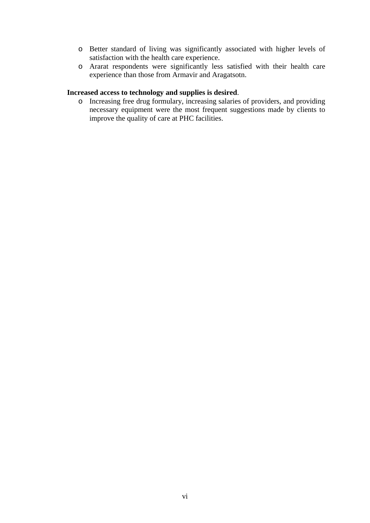- o Better standard of living was significantly associated with higher levels of satisfaction with the health care experience.
- o Ararat respondents were significantly less satisfied with their health care experience than those from Armavir and Aragatsotn.

#### **Increased access to technology and supplies is desired**.

o Increasing free drug formulary, increasing salaries of providers, and providing necessary equipment were the most frequent suggestions made by clients to improve the quality of care at PHC facilities.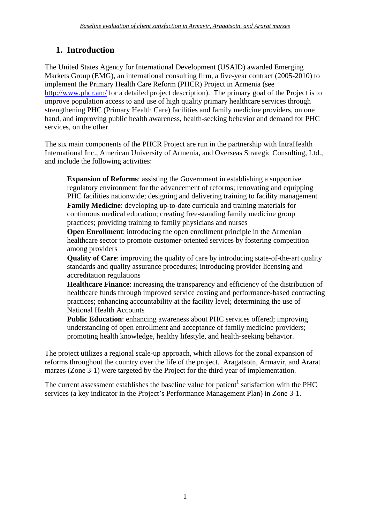## **1. Introduction**

The United States Agency for International Development (USAID) awarded Emerging Markets Group (EMG), an international consulting firm, a five-year contract (2005-2010) to implement the Primary Health Care Reform (PHCR) Project in Armenia (see http://www.phcr.am/ for a detailed project description). The primary goal of the Project is to improve population access to and use of high quality primary healthcare services through strengthening PHC (Primary Health Care) facilities and family medicine providers, on one hand, and improving public health awareness, health-seeking behavior and demand for PHC services, on the other.

The six main components of the PHCR Project are run in the partnership with IntraHealth International Inc., American University of Armenia, and Overseas Strategic Consulting, Ltd., and include the following activities:

**Expansion of Reforms**: assisting the Government in establishing a supportive regulatory environment for the advancement of reforms; renovating and equipping PHC facilities nationwide; designing and delivering training to facility management **Family Medicine**: developing up-to-date curricula and training materials for continuous medical education; creating free-standing family medicine group practices; providing training to family physicians and nurses

**Open Enrollment:** introducing the open enrollment principle in the Armenian healthcare sector to promote customer-oriented services by fostering competition among providers

**Quality of Care**: improving the quality of care by introducing state-of-the-art quality standards and quality assurance procedures; introducing provider licensing and accreditation regulations

**Healthcare Finance**: increasing the transparency and efficiency of the distribution of healthcare funds through improved service costing and performance-based contracting practices; enhancing accountability at the facility level; determining the use of National Health Accounts

**Public Education**: enhancing awareness about PHC services offered; improving understanding of open enrollment and acceptance of family medicine providers; promoting health knowledge, healthy lifestyle, and health-seeking behavior.

The project utilizes a regional scale-up approach, which allows for the zonal expansion of reforms throughout the country over the life of the project. Aragatsotn, Armavir, and Ararat marzes (Zone 3-1) were targeted by the Project for the third year of implementation.

The current assessment establishes the baseline value for patient<sup>1</sup> satisfaction with the PHC services (a key indicator in the Project's Performance Management Plan) in Zone 3-1.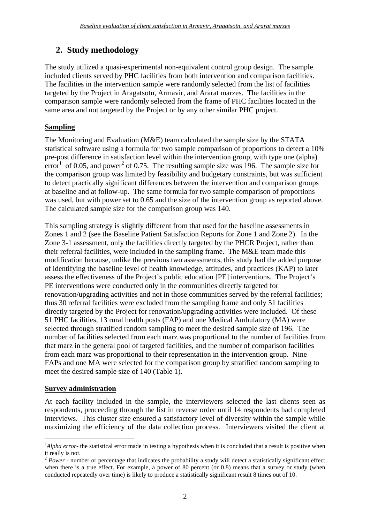## **2. Study methodology**

The study utilized a quasi-experimental non-equivalent control group design. The sample included clients served by PHC facilities from both intervention and comparison facilities. The facilities in the intervention sample were randomly selected from the list of facilities targeted by the Project in Aragatsotn, Armavir, and Ararat marzes. The facilities in the comparison sample were randomly selected from the frame of PHC facilities located in the same area and not targeted by the Project or by any other similar PHC project.

## **Sampling**

The Monitoring and Evaluation (M&E) team calculated the sample size by the STATA statistical software using a formula for two sample comparison of proportions to detect a 10% pre-post difference in satisfaction level within the intervention group, with type one (alpha)  $\text{error}^1$  of 0.05, and power<sup>2</sup> of 0.75. The resulting sample size was 196. The sample size for the comparison group was limited by feasibility and budgetary constraints, but was sufficient to detect practically significant differences between the intervention and comparison groups at baseline and at follow-up. The same formula for two sample comparison of proportions was used, but with power set to 0.65 and the size of the intervention group as reported above. The calculated sample size for the comparison group was 140.

This sampling strategy is slightly different from that used for the baseline assessments in Zones 1 and 2 (see the Baseline Patient Satisfaction Reports for Zone 1 and Zone 2). In the Zone 3-1 assessment, only the facilities directly targeted by the PHCR Project, rather than their referral facilities, were included in the sampling frame. The M&E team made this modification because, unlike the previous two assessments, this study had the added purpose of identifying the baseline level of health knowledge, attitudes, and practices (KAP) to later assess the effectiveness of the Project's public education [PE] interventions. The Project's PE interventions were conducted only in the communities directly targeted for renovation/upgrading activities and not in those communities served by the referral facilities; thus 30 referral facilities were excluded from the sampling frame and only 51 facilities directly targeted by the Project for renovation/upgrading activities were included. Of these 51 PHC facilities, 13 rural health posts (FAP) and one Medical Ambulatory (MA) were selected through stratified random sampling to meet the desired sample size of 196. The number of facilities selected from each marz was proportional to the number of facilities from that marz in the general pool of targeted facilities, and the number of comparison facilities from each marz was proportional to their representation in the intervention group. Nine FAPs and one MA were selected for the comparison group by stratified random sampling to meet the desired sample size of 140 (Table 1).

#### **Survey administration**

1

At each facility included in the sample, the interviewers selected the last clients seen as respondents, proceeding through the list in reverse order until 14 respondents had completed interviews. This cluster size ensured a satisfactory level of diversity within the sample while maximizing the efficiency of the data collection process. Interviewers visited the client at

<sup>&</sup>lt;sup>1</sup>Alpha error- the statistical error made in testing a hypothesis when it is concluded that a result is positive when it really is not.

<sup>&</sup>lt;sup>2</sup> *Power* - number or percentage that indicates the probability a study will detect a statistically significant effect when there is a true effect. For example, a power of 80 percent (or 0.8) means that a survey or study (when conducted repeatedly over time) is likely to produce a statistically significant result 8 times out of 10.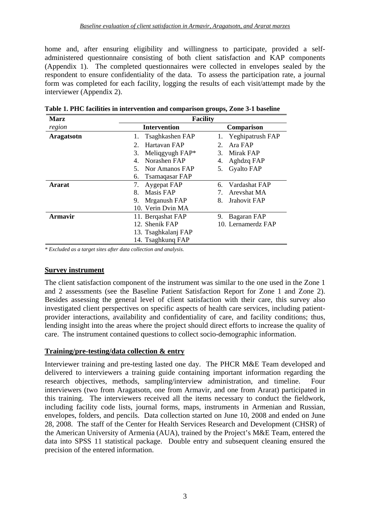home and, after ensuring eligibility and willingness to participate, provided a selfadministered questionnaire consisting of both client satisfaction and KAP components (Appendix 1). The completed questionnaires were collected in envelopes sealed by the respondent to ensure confidentiality of the data. To assess the participation rate, a journal form was completed for each facility, logging the results of each visit/attempt made by the interviewer (Appendix 2).

| <b>Marz</b>    | <b>Facility</b>       |                         |  |  |  |
|----------------|-----------------------|-------------------------|--|--|--|
| region         | <b>Intervention</b>   | <b>Comparison</b>       |  |  |  |
| Aragatsotn     | Tsaghkashen FAP<br>1. | Yeghipatrush FAP<br>1.  |  |  |  |
|                | Hartavan FAP<br>2.    | Ara FAP<br>2.           |  |  |  |
|                | Meliqgyugh FAP*<br>3. | <b>Mirak FAP</b><br>3.  |  |  |  |
|                | Norashen FAP<br>4.    | Aghdzq FAP<br>4.        |  |  |  |
|                | Nor Amanos FAP<br>5.  | <b>Gyalto FAP</b><br>5. |  |  |  |
|                | Tsamaqasar FAP<br>6.  |                         |  |  |  |
| <b>Ararat</b>  | 7.<br>Aygepat FAP     | Vardashat FAP<br>6.     |  |  |  |
|                | Masis FAP<br>8.       | Arevshat MA             |  |  |  |
|                | Mrganush FAP<br>9.    | Jrahovit FAP<br>8.      |  |  |  |
|                | 10. Verin Dvin MA     |                         |  |  |  |
| <b>Armavir</b> | 11. Bergashat FAP     | Bagaran FAP<br>9.       |  |  |  |
|                | 12. Shenik FAP        | 10. Lernamerdz FAP      |  |  |  |
|                | 13. Tsaghkalanj FAP   |                         |  |  |  |
|                | 14. Tsaghkung FAP     |                         |  |  |  |

**Table 1. PHC facilities in intervention and comparison groups, Zone 3-1 baseline** 

*\* Excluded as a target sites after data collection and analysis.* 

#### **Survey instrument**

The client satisfaction component of the instrument was similar to the one used in the Zone 1 and 2 assessments (see the Baseline Patient Satisfaction Report for Zone 1 and Zone 2). Besides assessing the general level of client satisfaction with their care, this survey also investigated client perspectives on specific aspects of health care services, including patientprovider interactions, availability and confidentiality of care, and facility conditions; thus, lending insight into the areas where the project should direct efforts to increase the quality of care. The instrument contained questions to collect socio-demographic information.

#### **Training/pre-testing/data collection & entry**

Interviewer training and pre-testing lasted one day. The PHCR M&E Team developed and delivered to interviewers a training guide containing important information regarding the research objectives, methods, sampling/interview administration, and timeline. Four interviewers (two from Aragatsotn, one from Armavir, and one from Ararat) participated in this training. The interviewers received all the items necessary to conduct the fieldwork, including facility code lists, journal forms, maps, instruments in Armenian and Russian, envelopes, folders, and pencils. Data collection started on June 10, 2008 and ended on June 28, 2008. The staff of the Center for Health Services Research and Development (CHSR) of the American University of Armenia (AUA), trained by the Project's M&E Team, entered the data into SPSS 11 statistical package. Double entry and subsequent cleaning ensured the precision of the entered information.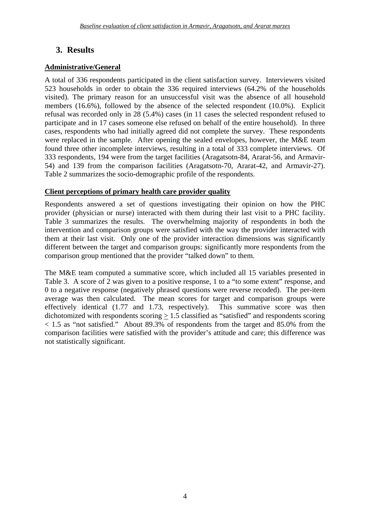## **3. Results**

## **Administrative/General**

A total of 336 respondents participated in the client satisfaction survey. Interviewers visited 523 households in order to obtain the 336 required interviews (64.2% of the households visited). The primary reason for an unsuccessful visit was the absence of all household members (16.6%), followed by the absence of the selected respondent (10.0%). Explicit refusal was recorded only in 28 (5.4%) cases (in 11 cases the selected respondent refused to participate and in 17 cases someone else refused on behalf of the entire household). In three cases, respondents who had initially agreed did not complete the survey. These respondents were replaced in the sample. After opening the sealed envelopes, however, the M&E team found three other incomplete interviews, resulting in a total of 333 complete interviews. Of 333 respondents, 194 were from the target facilities (Aragatsotn-84, Ararat-56, and Armavir-54) and 139 from the comparison facilities (Aragatsotn-70, Ararat-42, and Armavir-27). Table 2 summarizes the socio-demographic profile of the respondents.

#### **Client perceptions of primary health care provider quality**

Respondents answered a set of questions investigating their opinion on how the PHC provider (physician or nurse) interacted with them during their last visit to a PHC facility. Table 3 summarizes the results. The overwhelming majority of respondents in both the intervention and comparison groups were satisfied with the way the provider interacted with them at their last visit. Only one of the provider interaction dimensions was significantly different between the target and comparison groups: significantly more respondents from the comparison group mentioned that the provider "talked down" to them.

The M&E team computed a summative score, which included all 15 variables presented in Table 3. A score of 2 was given to a positive response, 1 to a "to some extent" response, and 0 to a negative response (negatively phrased questions were reverse recoded). The per-item average was then calculated. The mean scores for target and comparison groups were effectively identical (1.77 and 1.73, respectively). This summative score was then dichotomized with respondents scoring > 1.5 classified as "satisfied" and respondents scoring  $<$  1.5 as "not satisfied." About 89.3% of respondents from the target and 85.0% from the comparison facilities were satisfied with the provider's attitude and care; this difference was not statistically significant.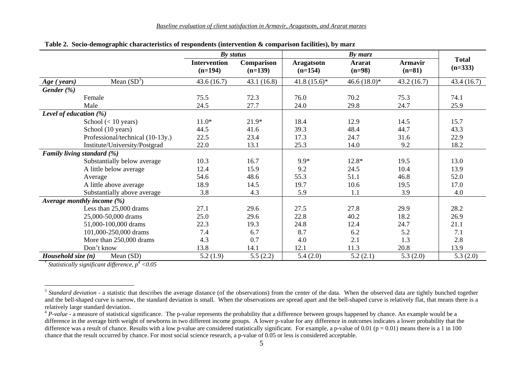|                          |                                  | By status                        |                         |                                | $By$ marz                 |                            |                           |
|--------------------------|----------------------------------|----------------------------------|-------------------------|--------------------------------|---------------------------|----------------------------|---------------------------|
|                          |                                  | <b>Intervention</b><br>$(n=194)$ | Comparison<br>$(n=139)$ | <b>Aragatsotn</b><br>$(n=154)$ | <b>Ararat</b><br>$(n=98)$ | <b>Armavir</b><br>$(n=81)$ | <b>Total</b><br>$(n=333)$ |
| Age (years)              | Mean $(SD^3)$                    | 43.6(16.7)                       | 43.1(16.8)              | $41.8(15.6)*$                  | $46.6(18.0)*$             | 43.2(16.7)                 | 43.4(16.7)                |
| Gender (%)               |                                  |                                  |                         |                                |                           |                            |                           |
|                          | Female                           | 75.5                             | 72.3                    | 76.0                           | 70.2                      | 75.3                       | 74.1                      |
|                          | Male                             | 24.5                             | 27.7                    | 24.0                           | 29.8                      | 24.7                       | 25.9                      |
| Level of education $(%)$ |                                  |                                  |                         |                                |                           |                            |                           |
|                          | School $(< 10$ years)            | $11.0*$                          | $21.9*$                 | 18.4                           | 12.9                      | 14.5                       | 15.7                      |
|                          | School (10 years)                | 44.5                             | 41.6                    | 39.3                           | 48.4                      | 44.7                       | 43.3                      |
|                          | Professional/technical (10-13y.) | 22.5                             | 23.4                    | 17.3                           | 24.7                      | 31.6                       | 22.9                      |
|                          | Institute/University/Postgrad    | 22.0                             | 13.1                    | 25.3                           | 14.0                      | 9.2                        | 18.2                      |
|                          | Family living standard (%)       |                                  |                         |                                |                           |                            |                           |
|                          | Substantially below average      | 10.3                             | 16.7                    | $9.9*$                         | 12.8*                     | 19.5                       | 13.0                      |
|                          | A little below average           | 12.4                             | 15.9                    | 9.2                            | 24.5                      | 10.4                       | 13.9                      |
|                          | Average                          | 54.6                             | 48.6                    | 55.3                           | 51.1                      | 46.8                       | 52.0                      |
|                          | A little above average           | 18.9                             | 14.5                    | 19.7                           | 10.6                      | 19.5                       | 17.0                      |
|                          | Substantially above average      | 3.8                              | 4.3                     | 5.9                            | 1.1                       | 3.9                        | 4.0                       |
|                          | Average monthly income $(\%)$    |                                  |                         |                                |                           |                            |                           |
|                          | Less than 25,000 drams           | 27.1                             | 29.6                    | 27.5                           | 27.8                      | 29.9                       | 28.2                      |
|                          | 25,000-50,000 drams              | 25.0                             | 29.6                    | 22.8                           | 40.2                      | 18.2                       | 26.9                      |
|                          | 51,000-100,000 drams             | 22.3                             | 19.3                    | 24.8                           | 12.4                      | 24.7                       | 21.1                      |
|                          | 101,000-250,000 drams            | 7.4                              | 6.7                     | 8.7                            | 6.2                       | 5.2                        | 7.1                       |
|                          | More than 250,000 drams          | 4.3                              | 0.7                     | 4.0                            | 2.1                       | 1.3                        | 2.8                       |
|                          | Don't know                       | 13.8                             | 14.1                    | 12.1                           | 11.3                      | 20.8                       | 13.9                      |
| Household size $(n)$     | Mean (SD)                        | 5.2(1.9)                         | 5.5(2.2)                | 5.4(2.0)                       | 5.2(2.1)                  | 5.3(2.0)                   | 5.3(2.0)                  |

**Table 2. Socio-demographic characteristics of respondents (intervention & comparison facilities), by marz** 

*Statistically significant difference, p4 <0.05* 

<sup>&</sup>lt;sup>3</sup> Standard deviation - a statistic that describes the average distance (of the observations) from the center of the data. When the observed data are tightly bunched together and the bell-shaped curve is narrow, the standard deviation is small. When the observations are spread apart and the bell-shaped curve is relatively flat, that means there is a relatively large standard deviation.

 $4$  *P-value* - a measure of statistical significance. The p-value represents the probability that a difference between groups happened by chance. An example would be a difference in the average birth weight of newborns in two different income groups. A lower p-value for any difference in outcomes indicates a lower probability that the difference was a result of chance. Results with a low p-value are considered statistically significant. For example, a p-value of 0.01 ( $p = 0.01$ ) means there is a 1 in 100 chance that the result occurred by chance. For most social science research, a p-value of 0.05 or less is considered acceptable.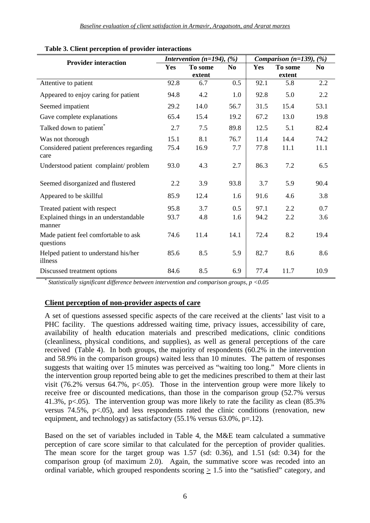| <b>Provider interaction</b>                       |      | Intervention ( $n=194$ ), (%) |                | Comparison $(n=139)$ , $(%)$ |         |                |
|---------------------------------------------------|------|-------------------------------|----------------|------------------------------|---------|----------------|
|                                                   | Yes  | To some                       | N <sub>0</sub> | Yes                          | To some | N <sub>o</sub> |
|                                                   |      | extent                        |                |                              | extent  |                |
| Attentive to patient                              | 92.8 | 6.7                           | 0.5            | 92.1                         | 5.8     | 2.2            |
| Appeared to enjoy caring for patient              | 94.8 | 4.2                           | 1.0            | 92.8                         | 5.0     | 2.2            |
| Seemed impatient                                  | 29.2 | 14.0                          | 56.7           | 31.5                         | 15.4    | 53.1           |
| Gave complete explanations                        | 65.4 | 15.4                          | 19.2           | 67.2                         | 13.0    | 19.8           |
| Talked down to patient®                           | 2.7  | 7.5                           | 89.8           | 12.5                         | 5.1     | 82.4           |
| Was not thorough                                  | 15.1 | 8.1                           | 76.7           | 11.4                         | 14.4    | 74.2           |
| Considered patient preferences regarding<br>care  | 75.4 | 16.9                          | 7.7            | 77.8                         | 11.1    | 11.1           |
| Understood patient complaint/problem              | 93.0 | 4.3                           | 2.7            | 86.3                         | 7.2     | 6.5            |
| Seemed disorganized and flustered                 | 2.2  | 3.9                           | 93.8           | 3.7                          | 5.9     | 90.4           |
| Appeared to be skillful                           | 85.9 | 12.4                          | 1.6            | 91.6                         | 4.6     | 3.8            |
| Treated patient with respect                      | 95.8 | 3.7                           | 0.5            | 97.1                         | 2.2     | 0.7            |
| Explained things in an understandable<br>manner   | 93.7 | 4.8                           | 1.6            | 94.2                         | 2.2     | 3.6            |
| Made patient feel comfortable to ask<br>questions | 74.6 | 11.4                          | 14.1           | 72.4                         | 8.2     | 19.4           |
| Helped patient to understand his/her<br>illness   | 85.6 | 8.5                           | 5.9            | 82.7                         | 8.6     | 8.6            |
| Discussed treatment options                       | 84.6 | 8.5                           | 6.9            | 77.4                         | 11.7    | 10.9           |

#### **Table 3. Client perception of provider interactions**

\*  *Statistically significant difference between intervention and comparison groups, p <0.05* 

#### **Client perception of non-provider aspects of care**

A set of questions assessed specific aspects of the care received at the clients' last visit to a PHC facility. The questions addressed waiting time, privacy issues, accessibility of care, availability of health education materials and prescribed medications, clinic conditions (cleanliness, physical conditions, and supplies), as well as general perceptions of the care received (Table 4). In both groups, the majority of respondents (60.2% in the intervention and 58.9% in the comparison groups) waited less than 10 minutes. The pattern of responses suggests that waiting over 15 minutes was perceived as "waiting too long." More clients in the intervention group reported being able to get the medicines prescribed to them at their last visit (76.2% versus 64.7%,  $p<0.05$ ). Those in the intervention group were more likely to receive free or discounted medications, than those in the comparison group (52.7% versus 41.3%, p<.05). The intervention group was more likely to rate the facility as clean (85.3% versus 74.5%,  $p<0.05$ ), and less respondents rated the clinic conditions (renovation, new equipment, and technology) as satisfactory  $(55.1\%$  versus  $63.0\%$ , p=.12).

Based on the set of variables included in Table 4, the M&E team calculated a summative perception of care score similar to that calculated for the perception of provider qualities. The mean score for the target group was 1.57 (sd: 0.36), and 1.51 (sd: 0.34) for the comparison group (of maximum 2.0). Again, the summative score was recoded into an ordinal variable, which grouped respondents scoring  $\geq 1.5$  into the "satisfied" category, and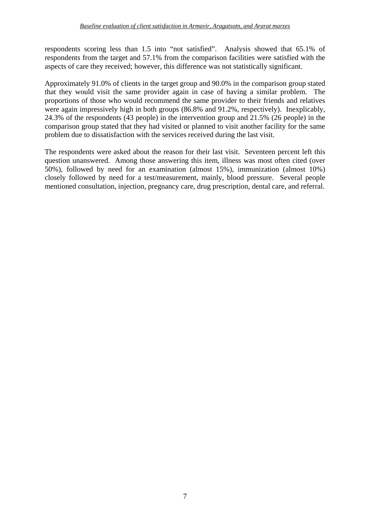respondents scoring less than 1.5 into "not satisfied". Analysis showed that 65.1% of respondents from the target and 57.1% from the comparison facilities were satisfied with the aspects of care they received; however, this difference was not statistically significant.

Approximately 91.0% of clients in the target group and 90.0% in the comparison group stated that they would visit the same provider again in case of having a similar problem. The proportions of those who would recommend the same provider to their friends and relatives were again impressively high in both groups (86.8% and 91.2%, respectively). Inexplicably, 24.3% of the respondents (43 people) in the intervention group and 21.5% (26 people) in the comparison group stated that they had visited or planned to visit another facility for the same problem due to dissatisfaction with the services received during the last visit.

The respondents were asked about the reason for their last visit. Seventeen percent left this question unanswered. Among those answering this item, illness was most often cited (over 50%), followed by need for an examination (almost 15%), immunization (almost 10%) closely followed by need for a test/measurement, mainly, blood pressure. Several people mentioned consultation, injection, pregnancy care, drug prescription, dental care, and referral.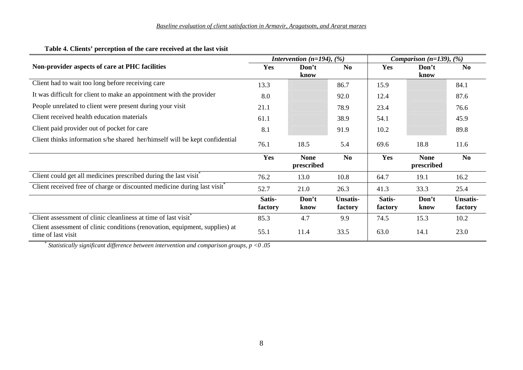|                                                                                                   | Intervention ( $n=194$ ), (%) |                           |                            | Comparison ( $n=139$ ), (%) |                           |                            |
|---------------------------------------------------------------------------------------------------|-------------------------------|---------------------------|----------------------------|-----------------------------|---------------------------|----------------------------|
| Non-provider aspects of care at PHC facilities                                                    | Yes                           | Don't                     | <b>No</b>                  | Yes                         | Don't                     | N <sub>0</sub>             |
|                                                                                                   |                               | know                      |                            |                             | know                      |                            |
| Client had to wait too long before receiving care                                                 | 13.3                          |                           | 86.7                       | 15.9                        |                           | 84.1                       |
| It was difficult for client to make an appointment with the provider                              | 8.0                           |                           | 92.0                       | 12.4                        |                           | 87.6                       |
| People unrelated to client were present during your visit                                         | 21.1                          |                           | 78.9                       | 23.4                        |                           | 76.6                       |
| Client received health education materials                                                        | 61.1                          |                           | 38.9                       | 54.1                        |                           | 45.9                       |
| Client paid provider out of pocket for care                                                       | 8.1                           |                           | 91.9                       | 10.2                        |                           | 89.8                       |
| Client thinks information s/he shared her/himself will be kept confidential                       | 76.1                          | 18.5                      | 5.4                        | 69.6                        | 18.8                      | 11.6                       |
|                                                                                                   | Yes                           | <b>None</b><br>prescribed | N <sub>0</sub>             | Yes                         | <b>None</b><br>prescribed | N <sub>0</sub>             |
| Client could get all medicines prescribed during the last visit <sup>*</sup>                      | 76.2                          | 13.0                      | 10.8                       | 64.7                        | 19.1                      | 16.2                       |
| Client received free of charge or discounted medicine during last visit <sup>*</sup>              | 52.7                          | 21.0                      | 26.3                       | 41.3                        | 33.3                      | 25.4                       |
|                                                                                                   | Satis-<br>factory             | Don't<br>know             | <b>Unsatis-</b><br>factory | Satis-<br>factory           | Don't<br>know             | <b>Unsatis-</b><br>factory |
| Client assessment of clinic cleanliness at time of last visit <sup>*</sup>                        | 85.3                          | 4.7                       | 9.9                        | 74.5                        | 15.3                      | 10.2                       |
| Client assessment of clinic conditions (renovation, equipment, supplies) at<br>time of last visit | 55.1                          | 11.4                      | 33.5                       | 63.0                        | 14.1                      | 23.0                       |

#### **Table 4. Clients' perception of the care received at the last visit**

\* *Statistically significant difference between intervention and comparison groups, p <0 .05*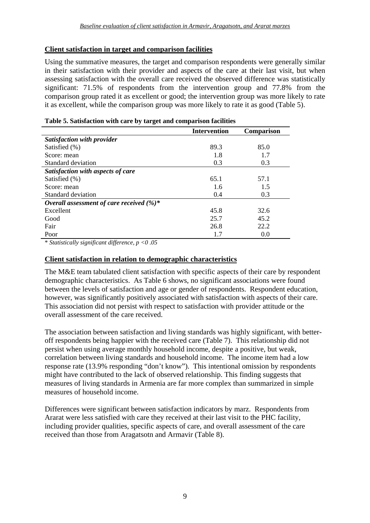#### **Client satisfaction in target and comparison facilities**

Using the summative measures, the target and comparison respondents were generally similar in their satisfaction with their provider and aspects of the care at their last visit, but when assessing satisfaction with the overall care received the observed difference was statistically significant: 71.5% of respondents from the intervention group and 77.8% from the comparison group rated it as excellent or good; the intervention group was more likely to rate it as excellent, while the comparison group was more likely to rate it as good (Table 5).

|                                              | <b>Intervention</b> | <b>Comparison</b> |
|----------------------------------------------|---------------------|-------------------|
| Satisfaction with provider                   |                     |                   |
| Satisfied (%)                                | 89.3                | 85.0              |
| Score: mean                                  | 1.8                 | 1.7               |
| Standard deviation                           | 0.3                 | 0.3               |
| Satisfaction with aspects of care            |                     |                   |
| Satisfied (%)                                | 65.1                | 57.1              |
| Score: mean                                  | 1.6                 | 1.5               |
| Standard deviation                           | 0.4                 | 0.3               |
| Overall assessment of care received $(\%)^*$ |                     |                   |
| Excellent                                    | 45.8                | 32.6              |
| Good                                         | 25.7                | 45.2              |
| Fair                                         | 26.8                | 22.2              |
| Poor                                         | 1.7                 | 0.0               |

#### **Table 5. Satisfaction with care by target and comparison facilities**

\* *Statistically significant difference, p <0 .05*

#### **Client satisfaction in relation to demographic characteristics**

The M&E team tabulated client satisfaction with specific aspects of their care by respondent demographic characteristics. As Table 6 shows, no significant associations were found between the levels of satisfaction and age or gender of respondents. Respondent education, however, was significantly positively associated with satisfaction with aspects of their care. This association did not persist with respect to satisfaction with provider attitude or the overall assessment of the care received.

The association between satisfaction and living standards was highly significant, with betteroff respondents being happier with the received care (Table 7). This relationship did not persist when using average monthly household income, despite a positive, but weak, correlation between living standards and household income. The income item had a low response rate (13.9% responding "don't know"). This intentional omission by respondents might have contributed to the lack of observed relationship. This finding suggests that measures of living standards in Armenia are far more complex than summarized in simple measures of household income.

Differences were significant between satisfaction indicators by marz. Respondents from Ararat were less satisfied with care they received at their last visit to the PHC facility, including provider qualities, specific aspects of care, and overall assessment of the care received than those from Aragatsotn and Armavir (Table 8).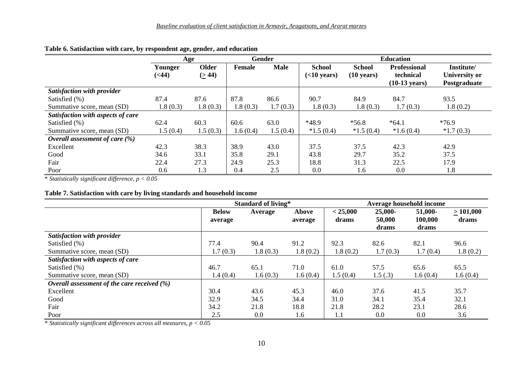|                                   |                          | Age                   |               | Gender      | <b>Education</b>                       |                                       |                                  |                             |
|-----------------------------------|--------------------------|-----------------------|---------------|-------------|----------------------------------------|---------------------------------------|----------------------------------|-----------------------------|
|                                   | Younger<br>( <b>44</b> ) | <b>Older</b><br>(244) | <b>Female</b> | <b>Male</b> | <b>School</b><br>$(<10 \text{ years})$ | <b>School</b><br>$(10 \text{ years})$ | <b>Professional</b><br>technical | Institute/<br>University or |
|                                   |                          |                       |               |             |                                        |                                       | $(10-13 \text{ years})$          | Postgraduate                |
| Satisfaction with provider        |                          |                       |               |             |                                        |                                       |                                  |                             |
| Satisfied (%)                     | 87.4                     | 87.6                  | 87.8          | 86.6        | 90.7                                   | 84.9                                  | 84.7                             | 93.5                        |
| Summative score, mean (SD)        | 1.8(0.3)                 | 1.8(0.3)              | 1.8(0.3)      | 1.7(0.3)    | 1.8(0.3)                               | 1.8(0.3)                              | 1.7(0.3)                         | 1.8(0.2)                    |
| Satisfaction with aspects of care |                          |                       |               |             |                                        |                                       |                                  |                             |
| Satisfied (%)                     | 62.4                     | 60.3                  | 60.6          | 63.0        | *48.9                                  | $*56.8$                               | $*64.1$                          | $*76.9$                     |
| Summative score, mean (SD)        | 1.5(0.4)                 | 1.5(0.3)              | 1.6(0.4)      | 1.5(0.4)    | $*1.5(0.4)$                            | $*1.5(0.4)$                           | $*1.6(0.4)$                      | $*1.7(0.3)$                 |
| Overall assessment of care $(\%)$ |                          |                       |               |             |                                        |                                       |                                  |                             |
| Excellent                         | 42.3                     | 38.3                  | 38.9          | 43.0        | 37.5                                   | 37.5                                  | 42.3                             | 42.9                        |
| Good                              | 34.6                     | 33.1                  | 35.8          | 29.1        | 43.8                                   | 29.7                                  | 35.2                             | 37.5                        |
| Fair                              | 22.4                     | 27.3                  | 24.9          | 25.3        | 18.8                                   | 31.3                                  | 22.5                             | 17.9                        |
| Poor                              | 0.6                      | 1.3                   | 0.4           | 2.5         | 0.0                                    | 1.6                                   | 0.0                              | 1.8                         |

#### **Table 6. Satisfaction with care, by respondent age, gender, and education**

\* *Statistically significant difference, p < 0.05*

#### **Table 7. Satisfaction with care by living standards and household income**

|                                                | <b>Standard of living*</b> |          |          | Average household income |            |          |          |
|------------------------------------------------|----------------------------|----------|----------|--------------------------|------------|----------|----------|
|                                                | <b>Below</b>               | Average  | Above    | < 25,000                 | $25,000 -$ | 51,000-  | >101,000 |
|                                                | average                    |          | average  | drams                    | 50,000     | 100,000  | drams    |
|                                                |                            |          |          |                          | drams      | drams    |          |
| Satisfaction with provider                     |                            |          |          |                          |            |          |          |
| Satisfied (%)                                  | 77.4                       | 90.4     | 91.2     | 92.3                     | 82.6       | 82.1     | 96.6     |
| Summative score, mean (SD)                     | 1.7(0.3)                   | 1.8(0.3) | 1.8(0.2) | 1.8(0.2)                 | 1.7(0.3)   | 1.7(0.4) | 1.8(0.2) |
| Satisfaction with aspects of care              |                            |          |          |                          |            |          |          |
| Satisfied (%)                                  | 46.7                       | 65.1     | 71.0     | 61.0                     | 57.5       | 65.6     | 65.5     |
| Summative score, mean (SD)                     | 1.4(0.4)                   | 1.6(0.3) | 1.6(0.4) | 1.5(0.4)                 | 1.5(.3)    | 1.6(0.4) | 1.6(0.4) |
| Overall assessment of the care received $(\%)$ |                            |          |          |                          |            |          |          |
| Excellent                                      | 30.4                       | 43.6     | 45.3     | 46.0                     | 37.6       | 41.5     | 35.7     |
| Good                                           | 32.9                       | 34.5     | 34.4     | 31.0                     | 34.1       | 35.4     | 32.1     |
| Fair                                           | 34.2                       | 21.8     | 18.8     | 21.8                     | 28.2       | 23.1     | 28.6     |
| Poor                                           | 2.5                        | 0.0      | 1.6      | $1.1\,$                  | 0.0        | 0.0      | 3.6      |

\* *Statistically significant differences across all measures, p < 0.05*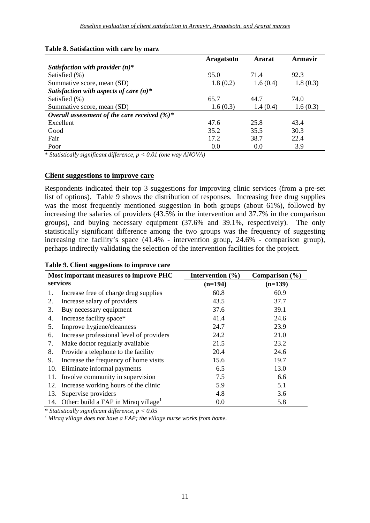#### **Table 8. Satisfaction with care by marz**

|                                                  | Aragatsotn | Ararat   | Armavir  |
|--------------------------------------------------|------------|----------|----------|
| Satisfaction with provider $(n)^*$               |            |          |          |
| Satisfied (%)                                    | 95.0       | 71.4     | 92.3     |
| Summative score, mean (SD)                       | 1.8(0.2)   | 1.6(0.4) | 1.8(0.3) |
| Satisfaction with aspects of care $(n)^*$        |            |          |          |
| Satisfied (%)                                    | 65.7       | 44.7     | 74.0     |
| Summative score, mean (SD)                       | 1.6(0.3)   | 1.4(0.4) | 1.6(0.3) |
| Overall assessment of the care received $(\%)^*$ |            |          |          |
| Excellent                                        | 47.6       | 25.8     | 43.4     |
| Good                                             | 35.2       | 35.5     | 30.3     |
| Fair                                             | 17.2       | 38.7     | 22.4     |
| Poor                                             | 0.0        | 0.0      | 3.9      |

\* *Statistically significant difference, p < 0.01 (one way ANOVA)* 

#### **Client suggestions to improve care**

Respondents indicated their top 3 suggestions for improving clinic services (from a pre-set list of options). Table 9 shows the distribution of responses. Increasing free drug supplies was the most frequently mentioned suggestion in both groups (about 61%), followed by increasing the salaries of providers (43.5% in the intervention and 37.7% in the comparison groups), and buying necessary equipment (37.6% and 39.1%, respectively). The only statistically significant difference among the two groups was the frequency of suggesting increasing the facility's space (41.4% - intervention group, 24.6% - comparison group), perhaps indirectly validating the selection of the intervention facilities for the project.

|     | Most important measures to improve PHC               | Intervention $(\% )$ | Comparison $(\% )$ |
|-----|------------------------------------------------------|----------------------|--------------------|
|     | services                                             | $(n=194)$            | $(n=139)$          |
| 1.  | Increase free of charge drug supplies                | 60.8                 | 60.9               |
| 2.  | Increase salary of providers                         | 43.5                 | 37.7               |
| 3.  | Buy necessary equipment                              | 37.6                 | 39.1               |
| 4.  | Increase facility space*                             | 41.4                 | 24.6               |
| 5.  | Improve hygiene/cleanness                            | 24.7                 | 23.9               |
| 6.  | Increase professional level of providers             | 24.2                 | 21.0               |
| 7.  | Make doctor regularly available                      | 21.5                 | 23.2               |
| 8.  | Provide a telephone to the facility                  | 20.4                 | 24.6               |
| 9.  | Increase the frequency of home visits                | 15.6                 | 19.7               |
| 10. | Eliminate informal payments                          | 6.5                  | 13.0               |
| 11. | Involve community in supervision                     | 7.5                  | 6.6                |
| 12. | Increase working hours of the clinic                 | 5.9                  | 5.1                |
| 13. | Supervise providers                                  | 4.8                  | 3.6                |
|     | 14. Other: build a FAP in Miraq village <sup>1</sup> | 0.0                  | 5.8                |

 $*$  *Statistically significant difference, p* < 0.05

 *Miraq village does not have a FAP; the village nurse works from home.*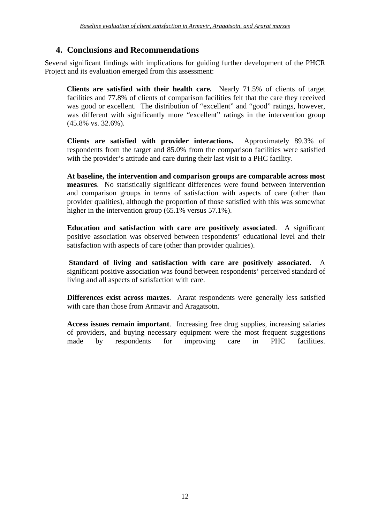## **4. Conclusions and Recommendations**

Several significant findings with implications for guiding further development of the PHCR Project and its evaluation emerged from this assessment:

**Clients are satisfied with their health care.** Nearly 71.5% of clients of target facilities and 77.8% of clients of comparison facilities felt that the care they received was good or excellent. The distribution of "excellent" and "good" ratings, however, was different with significantly more "excellent" ratings in the intervention group (45.8% vs. 32.6%).

**Clients are satisfied with provider interactions.** Approximately 89.3% of respondents from the target and 85.0% from the comparison facilities were satisfied with the provider's attitude and care during their last visit to a PHC facility.

**At baseline, the intervention and comparison groups are comparable across most measures**. No statistically significant differences were found between intervention and comparison groups in terms of satisfaction with aspects of care (other than provider qualities), although the proportion of those satisfied with this was somewhat higher in the intervention group (65.1% versus 57.1%).

**Education and satisfaction with care are positively associated**. A significant positive association was observed between respondents' educational level and their satisfaction with aspects of care (other than provider qualities).

**Standard of living and satisfaction with care are positively associated**. A significant positive association was found between respondents' perceived standard of living and all aspects of satisfaction with care.

**Differences exist across marzes**. Ararat respondents were generally less satisfied with care than those from Armavir and Aragatsotn.

**Access issues remain important**. Increasing free drug supplies, increasing salaries of providers, and buying necessary equipment were the most frequent suggestions made by respondents for improving care in PHC facilities.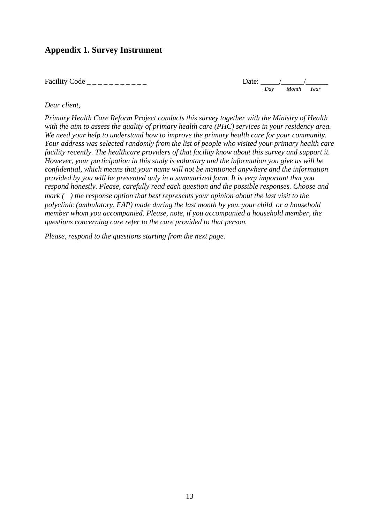## **Appendix 1. Survey Instrument**

Facility Code  $\angle$  \_ \_ \_ \_ \_ \_ \_ \_ \_ \_ \_



#### *Dear client,*

*Primary Health Care Reform Project conducts this survey together with the Ministry of Health with the aim to assess the quality of primary health care (PHC) services in your residency area. We need your help to understand how to improve the primary health care for your community. Your address was selected randomly from the list of people who visited your primary health care facility recently. The healthcare providers of that facility know about this survey and support it. However, your participation in this study is voluntary and the information you give us will be confidential, which means that your name will not be mentioned anywhere and the information provided by you will be presented only in a summarized form. It is very important that you respond honestly. Please, carefully read each question and the possible responses. Choose and mark ( ) the response option that best represents your opinion about the last visit to the polyclinic (ambulatory, FAP) made during the last month by you, your child or a household member whom you accompanied. Please, note, if you accompanied a household member, the questions concerning care refer to the care provided to that person.* 

*Please, respond to the questions starting from the next page.*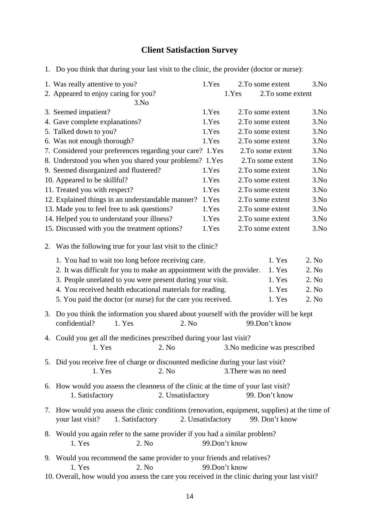#### **Client Satisfaction Survey**

1. Do you think that during your last visit to the clinic, the provider (doctor or nurse):

| 1. Was really attentive to you?                              | 1.Yes |       | 2. To some extent | 3.No |
|--------------------------------------------------------------|-------|-------|-------------------|------|
| 2. Appeared to enjoy caring for you?                         |       | 1.Yes | 2. To some extent |      |
| 3.No                                                         |       |       |                   |      |
| 3. Seemed impatient?                                         | 1.Yes |       | 2. To some extent | 3.No |
| 4. Gave complete explanations?                               | 1.Yes |       | 2. To some extent | 3.No |
| 5. Talked down to you?                                       | 1.Yes |       | 2. To some extent | 3.No |
| 6. Was not enough thorough?                                  | 1.Yes |       | 2. To some extent | 3.No |
| 7. Considered your preferences regarding your care? 1.Yes    |       |       | 2. To some extent | 3.No |
| 8. Understood you when you shared your problems? 1.Yes       |       |       | 2. To some extent | 3.No |
| 9. Seemed disorganized and flustered?                        | 1.Yes |       | 2. To some extent | 3.No |
| 10. Appeared to be skillful?                                 | 1.Yes |       | 2. To some extent | 3.No |
| 11. Treated you with respect?                                | 1.Yes |       | 2. To some extent | 3.No |
| 12. Explained things in an understandable manner?            | 1.Yes |       | 2. To some extent | 3.No |
| 13. Made you to feel free to ask questions?                  | 1.Yes |       | 2. To some extent | 3.No |
| 14. Helped you to understand your illness?                   | 1.Yes |       | 2. To some extent | 3.No |
| 15. Discussed with you the treatment options?                | 1.Yes |       | 2. To some extent | 3.No |
| 2. Was the following true for your last visit to the clinic? |       |       |                   |      |

| 1. You had to wait too long before receiving care.                    | 1. Yes | 2. No  |
|-----------------------------------------------------------------------|--------|--------|
| 2. It was difficult for you to make an appointment with the provider. | 1. Yes | 2. No  |
| 3. People unrelated to you were present during your visit.            | 1. Yes | 2. No  |
| 4. You received health educational materials for reading.             | 1. Yes | 2. No. |
| 5. You paid the doctor (or nurse) for the care you received.          | 1. Yes | 2. No. |
|                                                                       |        |        |

3. Do you think the information you shared about yourself with the provider will be kept confidential? 1. Yes 2. No 99.Don't know

- 4. Could you get all the medicines prescribed during your last visit? 1. Yes 2. No 3.No medicine was prescribed
- 5. Did you receive free of charge or discounted medicine during your last visit? 1. Yes 2. No 3. There was no need
- 6. How would you assess the cleanness of the clinic at the time of your last visit? 1. Satisfactory 2. Unsatisfactory 99. Don't know
- 7. How would you assess the clinic conditions (renovation, equipment, supplies) at the time of your last visit? 1. Satisfactory 2. Unsatisfactory 99. Don't know
- 8. Would you again refer to the same provider if you had a similar problem? 1. Yes 2. No 99 Don't know
- 9. Would you recommend the same provider to your friends and relatives? 1. Yes 2. No 99. Don't know
- 10. Overall, how would you assess the care you received in the clinic during your last visit?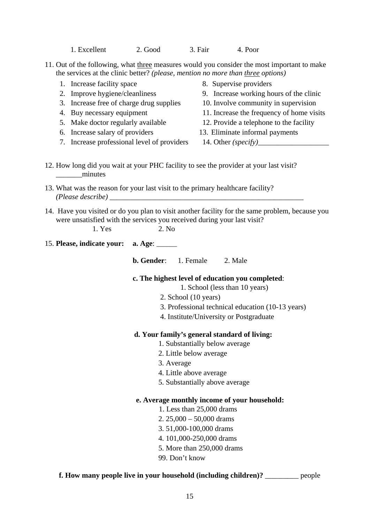1. Excellent 2. Good 3. Fair 4. Poor

11. Out of the following, what three measures would you consider the most important to make the services at the clinic better? *(please, mention no more than three options)*

- 1. Increase facility space 8. Supervise providers
- 
- 3. Increase free of charge drug supplies 10. Involve community in supervision
- 
- 5. Make doctor regularly available 12. Provide a telephone to the facility
- 
- 7. Increase professional level of providers 14. Other *(specify)*
- 
- 2. Improve hygiene/cleanliness 9. Increase working hours of the clinic
	-
- 4. Buy necessary equipment 11. Increase the frequency of home visits
	-
- 6. Increase salary of providers 13. Eliminate informal payments
	-
- 12. How long did you wait at your PHC facility to see the provider at your last visit? \_\_\_\_\_\_\_minutes
- 13. What was the reason for your last visit to the primary healthcare facility? *(Please describe)* \_\_\_\_\_\_\_\_\_\_\_\_\_\_\_\_\_\_\_\_\_\_\_\_\_\_\_\_\_\_\_\_\_\_\_\_\_\_\_\_\_\_\_\_\_\_\_\_\_\_\_\_
- 14. Have you visited or do you plan to visit another facility for the same problem, because you were unsatisfied with the services you received during your last visit?

| 15. Please, indicate your: a. Age: ______<br><b>b. Gender:</b> 1. Female 2. Male |
|----------------------------------------------------------------------------------|
|                                                                                  |
|                                                                                  |
| c. The highest level of education you completed:                                 |
| 1. School (less than 10 years)                                                   |
| 2. School (10 years)                                                             |
| 3. Professional technical education (10-13 years)                                |
| 4. Institute/University or Postgraduate                                          |
| d. Your family's general standard of living:                                     |
| 1. Substantially below average                                                   |
| 2. Little below average                                                          |
| 3. Average                                                                       |
| 4. Little above average                                                          |
| 5. Substantially above average                                                   |
| e. Average monthly income of your household:                                     |
| 1. Less than $25,000$ drams                                                      |
| 2. $25,000 - 50,000$ drams                                                       |
| 3.51,000-100,000 drams                                                           |
| 4.101,000-250,000 drams                                                          |

- 5. More than 250,000 drams
- 99. Don't know

#### **f. How many people live in your household (including children)?** people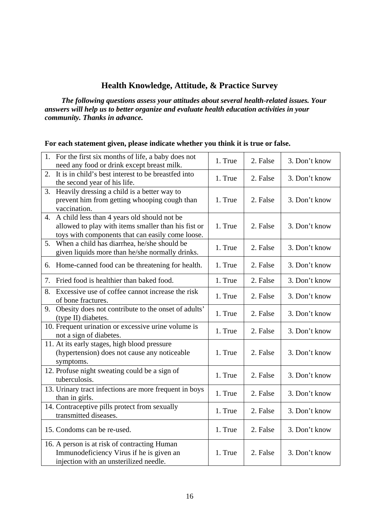## **Health Knowledge, Attitude, & Practice Survey**

 *The following questions assess your attitudes about several health-related issues. Your answers will help us to better organize and evaluate health education activities in your community. Thanks in advance.* 

| For each statement given, please indicate whether you think it is true or false. |  |  |
|----------------------------------------------------------------------------------|--|--|
|----------------------------------------------------------------------------------|--|--|

| 1. For the first six months of life, a baby does not<br>need any food or drink except breast milk.                                                        | 1. True | 2. False | 3. Don't know |
|-----------------------------------------------------------------------------------------------------------------------------------------------------------|---------|----------|---------------|
| It is in child's best interest to be breastfed into<br>2.<br>the second year of his life.                                                                 | 1. True | 2. False | 3. Don't know |
| Heavily dressing a child is a better way to<br>3.<br>prevent him from getting whooping cough than<br>vaccination.                                         | 1. True | 2. False | 3. Don't know |
| 4. A child less than 4 years old should not be<br>allowed to play with items smaller than his fist or<br>toys with components that can easily come loose. | 1. True | 2. False | 3. Don't know |
| When a child has diarrhea, he/she should be<br>5.<br>given liquids more than he/she normally drinks.                                                      | 1. True | 2. False | 3. Don't know |
| 6. Home-canned food can be threatening for health.                                                                                                        | 1. True | 2. False | 3. Don't know |
| 7. Fried food is healthier than baked food.                                                                                                               | 1. True | 2. False | 3. Don't know |
| Excessive use of coffee cannot increase the risk<br>8.<br>of bone fractures.                                                                              | 1. True | 2. False | 3. Don't know |
| Obesity does not contribute to the onset of adults'<br>9.<br>(type II) diabetes.                                                                          | 1. True | 2. False | 3. Don't know |
| 10. Frequent urination or excessive urine volume is<br>not a sign of diabetes.                                                                            | 1. True | 2. False | 3. Don't know |
| 11. At its early stages, high blood pressure<br>(hypertension) does not cause any noticeable<br>symptoms.                                                 | 1. True | 2. False | 3. Don't know |
| 12. Profuse night sweating could be a sign of<br>tuberculosis.                                                                                            | 1. True | 2. False | 3. Don't know |
| 13. Urinary tract infections are more frequent in boys<br>than in girls.                                                                                  | 1. True | 2. False | 3. Don't know |
| 14. Contraceptive pills protect from sexually<br>transmitted diseases.                                                                                    | 1. True | 2. False | 3. Don't know |
| 15. Condoms can be re-used.                                                                                                                               | 1. True | 2. False | 3. Don't know |
| 16. A person is at risk of contracting Human<br>Immunodeficiency Virus if he is given an<br>injection with an unsterilized needle.                        | 1. True | 2. False | 3. Don't know |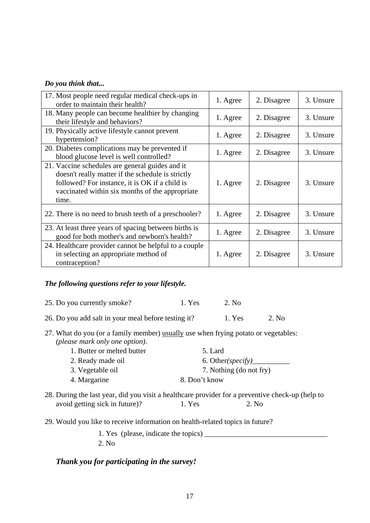#### *Do you think that...*

| 17. Most people need regular medical check-ups in<br>order to maintain their health?                                                                                                                               | 1. Agree | 2. Disagree | 3. Unsure |
|--------------------------------------------------------------------------------------------------------------------------------------------------------------------------------------------------------------------|----------|-------------|-----------|
| 18. Many people can become healthier by changing<br>their lifestyle and behaviors?                                                                                                                                 | 1. Agree | 2. Disagree | 3. Unsure |
| 19. Physically active lifestyle cannot prevent<br>hypertension?                                                                                                                                                    | 1. Agree | 2. Disagree | 3. Unsure |
| 20. Diabetes complications may be prevented if<br>blood glucose level is well controlled?                                                                                                                          | 1. Agree | 2. Disagree | 3. Unsure |
| 21. Vaccine schedules are general guides and it<br>doesn't really matter if the schedule is strictly<br>followed? For instance, it is OK if a child is<br>vaccinated within six months of the appropriate<br>time. | 1. Agree | 2. Disagree | 3. Unsure |
| 22. There is no need to brush teeth of a preschooler?                                                                                                                                                              | 1. Agree | 2. Disagree | 3. Unsure |
| 23. At least three years of spacing between births is<br>good for both mother's and newborn's health?                                                                                                              | 1. Agree | 2. Disagree | 3. Unsure |
| 24. Healthcare provider cannot be helpful to a couple<br>in selecting an appropriate method of<br>contraception?                                                                                                   | 1. Agree | 2. Disagree | 3. Unsure |

#### *The following questions refer to your lifestyle.*

- 25. Do you currently smoke? 1. Yes 2. No
- 26. Do you add salt in your meal before testing it? 1. Yes 2. No
- 27. What do you (or a family member) usually use when frying potato or vegetables: *(please mark only one option)*.

| 1. Butter or melted butter | 5. Lard                 |
|----------------------------|-------------------------|
| 2. Ready made oil          | 6. Other(specify)       |
| 3. Vegetable oil           | 7. Nothing (do not fry) |
| 4. Margarine               | 8. Don't know           |

- 28. During the last year, did you visit a healthcare provider for a preventive check-up (help to avoid getting sick in future)? 1. Yes 2. No
- 29. Would you like to receive information on health-related topics in future?

1. Yes (please, indicate the topics) 2. No

## *Thank you for participating in the survey!*